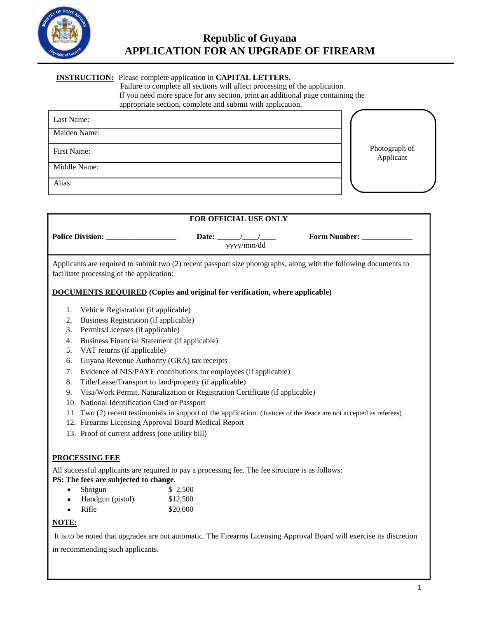

## **INSTRUCTION:** Please complete application in **CAPITAL LETTERS.**

Failure to complete all sections will affect processing of the application. If you need more space for any section, print an additional page containing the appropriate section, complete and submit with application.

| Last Name:   |                            |
|--------------|----------------------------|
| Maiden Name: |                            |
| First Name:  | Photograph of<br>Applicant |
| Middle Name: |                            |
| Alias:       |                            |

| FOR OFFICIAL USE ONLY                                                                                                                                                                                                                                                                                                                                     |                                                                                                                                                                                                                                                                                                                                                                                                                                          |  |
|-----------------------------------------------------------------------------------------------------------------------------------------------------------------------------------------------------------------------------------------------------------------------------------------------------------------------------------------------------------|------------------------------------------------------------------------------------------------------------------------------------------------------------------------------------------------------------------------------------------------------------------------------------------------------------------------------------------------------------------------------------------------------------------------------------------|--|
|                                                                                                                                                                                                                                                                                                                                                           | Form Number: ____________<br>Date: $\frac{1}{\sqrt{1-\frac{1}{2}}}$<br>yyyy/mm/dd                                                                                                                                                                                                                                                                                                                                                        |  |
| facilitate processing of the application:                                                                                                                                                                                                                                                                                                                 | Applicants are required to submit two (2) recent passport size photographs, along with the following documents to                                                                                                                                                                                                                                                                                                                        |  |
|                                                                                                                                                                                                                                                                                                                                                           | <b>DOCUMENTS REQUIRED</b> (Copies and original for verification, where applicable)                                                                                                                                                                                                                                                                                                                                                       |  |
| Vehicle Registration (if applicable)<br>1.<br>Business Registration (if applicable)<br>2.<br>Permits/Licenses (if applicable)<br>3.<br>Business Financial Statement (if applicable)<br>4.<br>VAT returns (if applicable)<br>5.<br>6.<br>7.<br>8.<br>9.<br>10. National Identification Card or Passport<br>13. Proof of current address (one utility bill) | Guyana Revenue Authority (GRA) tax receipts<br>Evidence of NIS/PAYE contributions for employees (if applicable)<br>Title/Lease/Transport to land/property (if applicable)<br>Visa/Work Permit, Naturalization or Registration Certificate (if applicable)<br>11. Two (2) recent testimonials in support of the application. (Justices of the Peace are not accepted as referees)<br>12. Firearms Licensing Approval Board Medical Report |  |
| <b>PROCESSING FEE</b>                                                                                                                                                                                                                                                                                                                                     |                                                                                                                                                                                                                                                                                                                                                                                                                                          |  |
| PS: The fees are subjected to change.                                                                                                                                                                                                                                                                                                                     | All successful applicants are required to pay a processing fee. The fee structure is as follows:                                                                                                                                                                                                                                                                                                                                         |  |
| Shotgun<br>$\bullet$                                                                                                                                                                                                                                                                                                                                      | \$2,500                                                                                                                                                                                                                                                                                                                                                                                                                                  |  |
| Handgun (pistol)<br>$\bullet$                                                                                                                                                                                                                                                                                                                             | \$12,500                                                                                                                                                                                                                                                                                                                                                                                                                                 |  |
| Rifle                                                                                                                                                                                                                                                                                                                                                     | \$20,000                                                                                                                                                                                                                                                                                                                                                                                                                                 |  |
| NOTE:                                                                                                                                                                                                                                                                                                                                                     |                                                                                                                                                                                                                                                                                                                                                                                                                                          |  |
|                                                                                                                                                                                                                                                                                                                                                           | It is to be noted that upgrades are not automatic. The Firearms Licensing Approval Board will exercise its discretion                                                                                                                                                                                                                                                                                                                    |  |

in recommending such applicants.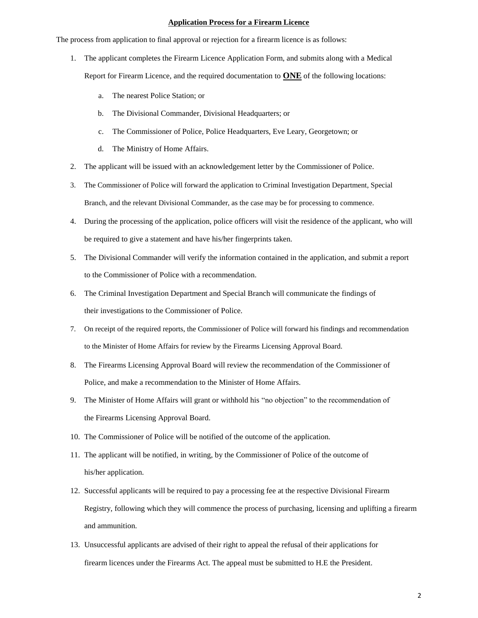### **Application Process for a Firearm Licence**

The process from application to final approval or rejection for a firearm licence is as follows:

- 1. The applicant completes the Firearm Licence Application Form, and submits along with a Medical Report for Firearm Licence, and the required documentation to **ONE** of the following locations:
	- a. The nearest Police Station; or
	- b. The Divisional Commander, Divisional Headquarters; or
	- c. The Commissioner of Police, Police Headquarters, Eve Leary, Georgetown; or
	- d. The Ministry of Home Affairs.
- 2. The applicant will be issued with an acknowledgement letter by the Commissioner of Police.
- 3. The Commissioner of Police will forward the application to Criminal Investigation Department, Special Branch, and the relevant Divisional Commander, as the case may be for processing to commence.
- 4. During the processing of the application, police officers will visit the residence of the applicant, who will be required to give a statement and have his/her fingerprints taken.
- 5. The Divisional Commander will verify the information contained in the application, and submit a report to the Commissioner of Police with a recommendation.
- 6. The Criminal Investigation Department and Special Branch will communicate the findings of their investigations to the Commissioner of Police.
- 7. On receipt of the required reports, the Commissioner of Police will forward his findings and recommendation to the Minister of Home Affairs for review by the Firearms Licensing Approval Board.
- 8. The Firearms Licensing Approval Board will review the recommendation of the Commissioner of Police, and make a recommendation to the Minister of Home Affairs.
- 9. The Minister of Home Affairs will grant or withhold his "no objection" to the recommendation of the Firearms Licensing Approval Board.
- 10. The Commissioner of Police will be notified of the outcome of the application.
- 11. The applicant will be notified, in writing, by the Commissioner of Police of the outcome of his/her application.
- 12. Successful applicants will be required to pay a processing fee at the respective Divisional Firearm Registry, following which they will commence the process of purchasing, licensing and uplifting a firearm and ammunition.
- 13. Unsuccessful applicants are advised of their right to appeal the refusal of their applications for firearm licences under the Firearms Act. The appeal must be submitted to H.E the President.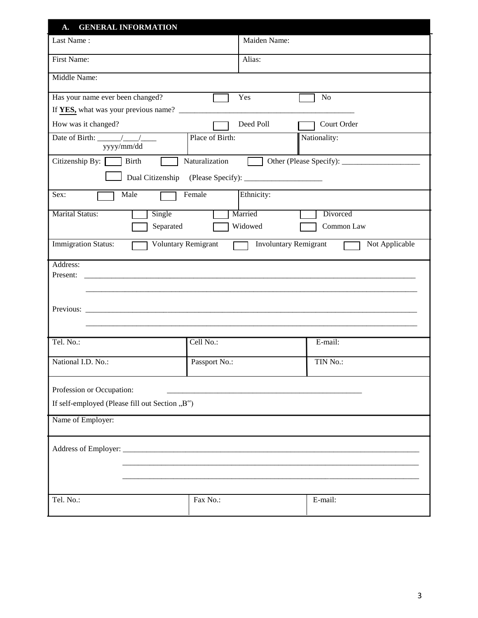| <b>GENERAL INFORMATION</b><br>A.                              |                               |                                                |
|---------------------------------------------------------------|-------------------------------|------------------------------------------------|
| Last Name:                                                    | Maiden Name:                  |                                                |
| First Name:                                                   | Alias:                        |                                                |
| Middle Name:                                                  |                               |                                                |
| Has your name ever been changed?                              | Yes                           | N <sub>o</sub>                                 |
|                                                               |                               |                                                |
| How was it changed?                                           | Deed Poll                     | Court Order                                    |
| Date of Birth: $\frac{1}{\sqrt{1-\frac{1}{2}}}$<br>yyyy/mm/dd | Place of Birth:               | Nationality:                                   |
| Citizenship By:<br>Birth                                      | Naturalization                |                                                |
|                                                               |                               |                                                |
| Male<br>Sex:                                                  | Female<br>Ethnicity:          |                                                |
| <b>Marital Status:</b><br>Single                              | Married                       | Divorced                                       |
| Separated                                                     | Widowed                       | Common Law                                     |
| Immigration Status:                                           | Voluntary Remigrant<br>$\Box$ | <b>Involuntary Remigrant</b><br>Not Applicable |
| Address:                                                      |                               |                                                |
| Present:                                                      |                               |                                                |
|                                                               |                               |                                                |
|                                                               |                               |                                                |
|                                                               |                               |                                                |
|                                                               |                               |                                                |
| Tel. No.:                                                     | Cell No.:                     | E-mail:                                        |
| National I.D. No.:                                            | Passport No.:                 | TIN No.:                                       |
| Profession or Occupation:                                     |                               |                                                |
| If self-employed (Please fill out Section "B")                |                               |                                                |
| Name of Employer:                                             |                               |                                                |
|                                                               |                               |                                                |
|                                                               |                               |                                                |
|                                                               |                               |                                                |
|                                                               |                               |                                                |
|                                                               |                               |                                                |
| Tel. No.:                                                     | Fax No.:                      | E-mail:                                        |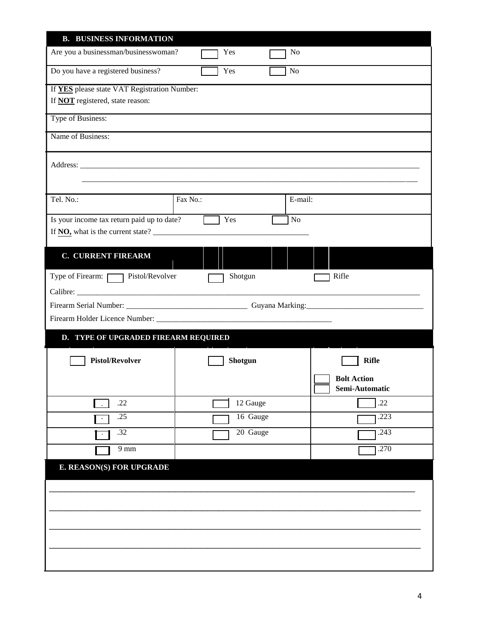| <b>B. BUSINESS INFORMATION</b>               |          |                                      |              |
|----------------------------------------------|----------|--------------------------------------|--------------|
| Are you a businessman/businesswoman?         | Yes      | No                                   |              |
| Do you have a registered business?           | Yes      | N <sub>o</sub>                       |              |
| If YES please state VAT Registration Number: |          |                                      |              |
| If <b>NOT</b> registered, state reason:      |          |                                      |              |
| Type of Business:                            |          |                                      |              |
| Name of Business:                            |          |                                      |              |
|                                              |          |                                      |              |
|                                              |          |                                      |              |
|                                              |          |                                      |              |
| Tel. No.:                                    | Fax No.: | E-mail:                              |              |
| Is your income tax return paid up to date?   | Yes      | <b>No</b>                            |              |
| If NO, what is the current state?            |          |                                      |              |
| <b>C. CURRENT FIREARM</b>                    |          |                                      |              |
| Type of Firearm: Pistol/Revolver             | Shotgun  | Rifle                                |              |
|                                              |          |                                      |              |
|                                              |          |                                      |              |
|                                              |          |                                      |              |
|                                              |          |                                      |              |
| D. TYPE OF UPGRADED FIREARM REQUIRED         |          |                                      |              |
| <b>Pistol/Revolver</b>                       |          |                                      | <b>Rifle</b> |
|                                              | Shotgun  |                                      |              |
|                                              |          | <b>Bolt Action</b><br>Semi-Automatic |              |
| .22                                          |          | 12 Gauge                             | .22          |
| .25<br>$\sim$                                |          | 16 Gauge                             | .223         |
| .32<br>$\cdot$                               |          | 20 Gauge                             | .243         |
| $9 \text{ mm}$                               |          |                                      | .270         |
| E. REASON(S) FOR UPGRADE                     |          |                                      |              |
|                                              |          |                                      |              |
|                                              |          |                                      |              |
|                                              |          |                                      |              |
|                                              |          |                                      |              |
|                                              |          |                                      |              |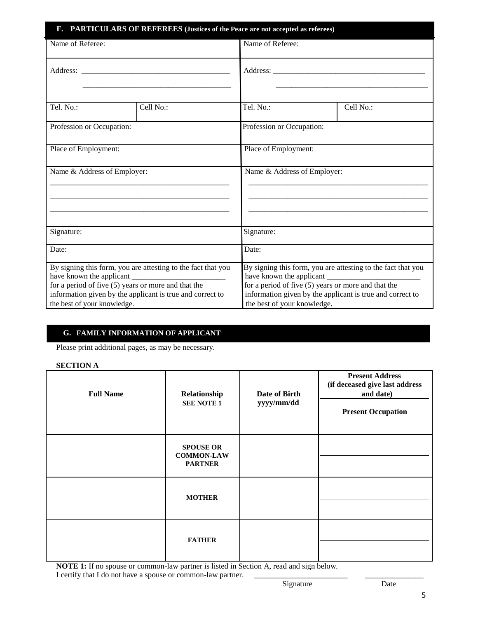| F. PARTICULARS OF REFEREES (Justices of the Peace are not accepted as referees)                                                                                                                                   |           |                                                                                                                                                                                                                   |           |  |
|-------------------------------------------------------------------------------------------------------------------------------------------------------------------------------------------------------------------|-----------|-------------------------------------------------------------------------------------------------------------------------------------------------------------------------------------------------------------------|-----------|--|
| Name of Referee:                                                                                                                                                                                                  |           | Name of Referee:                                                                                                                                                                                                  |           |  |
|                                                                                                                                                                                                                   |           |                                                                                                                                                                                                                   |           |  |
| Tel. No.:                                                                                                                                                                                                         | Cell No.: | Tel. No.:                                                                                                                                                                                                         | Cell No.: |  |
| Profession or Occupation:                                                                                                                                                                                         |           | Profession or Occupation:                                                                                                                                                                                         |           |  |
| Place of Employment:                                                                                                                                                                                              |           | Place of Employment:                                                                                                                                                                                              |           |  |
| Name & Address of Employer:                                                                                                                                                                                       |           | Name & Address of Employer:                                                                                                                                                                                       |           |  |
| Signature:                                                                                                                                                                                                        |           | Signature:                                                                                                                                                                                                        |           |  |
| Date:                                                                                                                                                                                                             |           | Date:                                                                                                                                                                                                             |           |  |
| By signing this form, you are attesting to the fact that you<br>for a period of five $(5)$ years or more and that the<br>information given by the applicant is true and correct to<br>the best of your knowledge. |           | By signing this form, you are attesting to the fact that you<br>for a period of five $(5)$ years or more and that the<br>information given by the applicant is true and correct to<br>the best of your knowledge. |           |  |

# **G. FAMILY INFORMATION OF APPLICANT**

Please print additional pages, as may be necessary.

### **SECTION A**

| <b>Full Name</b> | Relationship<br><b>SEE NOTE 1</b>                       | Date of Birth<br>yyyy/mm/dd | <b>Present Address</b><br>(if deceased give last address<br>and date)<br><b>Present Occupation</b> |
|------------------|---------------------------------------------------------|-----------------------------|----------------------------------------------------------------------------------------------------|
|                  | <b>SPOUSE OR</b><br><b>COMMON-LAW</b><br><b>PARTNER</b> |                             |                                                                                                    |
|                  | <b>MOTHER</b>                                           |                             |                                                                                                    |
|                  | <b>FATHER</b>                                           |                             |                                                                                                    |

**NOTE 1:** If no spouse or common-law partner is listed in Section A, read and sign below. I certify that I do not have a spouse or common-law partner. \_\_\_\_\_\_\_\_\_\_\_\_\_\_\_\_\_\_\_\_\_\_\_\_ \_\_\_\_\_\_\_\_\_\_\_\_\_\_\_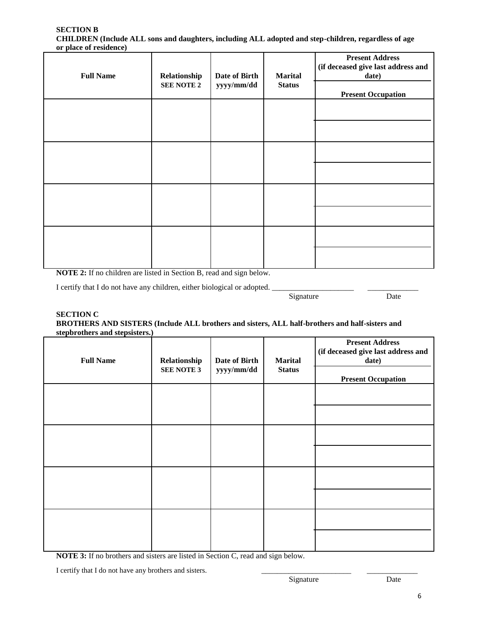#### **SECTION B CHILDREN (Include ALL sons and daughters, including ALL adopted and step-children, regardless of age or place of residence)**

| <b>Full Name</b> | Relationship<br><b>SEE NOTE 2</b> | Date of Birth<br>yyyy/mm/dd | <b>Marital</b><br><b>Status</b> | <b>Present Address</b><br>(if deceased give last address and<br>date)<br><b>Present Occupation</b> |
|------------------|-----------------------------------|-----------------------------|---------------------------------|----------------------------------------------------------------------------------------------------|
|                  |                                   |                             |                                 |                                                                                                    |
|                  |                                   |                             |                                 |                                                                                                    |
|                  |                                   |                             |                                 |                                                                                                    |
|                  |                                   |                             |                                 |                                                                                                    |

**NOTE 2:** If no children are listed in Section B, read and sign below.

I certify that I do not have any children, either biological or adopted.

Signature

\_\_\_\_\_\_\_\_\_\_\_\_\_ Date

#### **SECTION C BROTHERS AND SISTERS (Include ALL brothers and sisters, ALL half-brothers and half-sisters and stepbrothers and stepsisters.)**

| <b>Full Name</b> | Relationship<br><b>SEE NOTE 3</b> | Date of Birth<br>yyyy/mm/dd | <b>Marital</b><br><b>Status</b> | <b>Present Address</b><br>(if deceased give last address and<br>date)<br><b>Present Occupation</b> |
|------------------|-----------------------------------|-----------------------------|---------------------------------|----------------------------------------------------------------------------------------------------|
|                  |                                   |                             |                                 |                                                                                                    |
|                  |                                   |                             |                                 |                                                                                                    |
|                  |                                   |                             |                                 |                                                                                                    |
|                  |                                   |                             |                                 |                                                                                                    |

**NOTE 3:** If no brothers and sisters are listed in Section C, read and sign below.

I certify that I do not have any brothers and sisters.